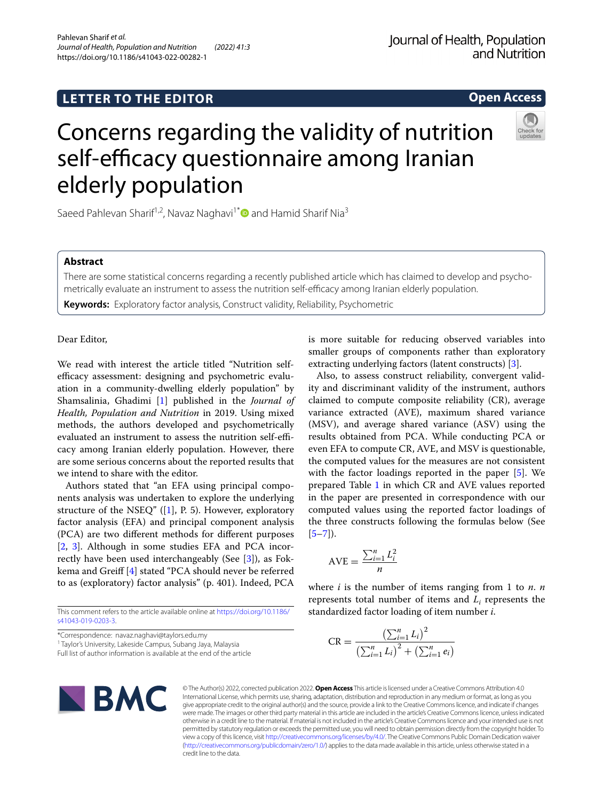**Open Access**

# Concerns regarding the validity of nutrition self-efficacy questionnaire among Iranian elderly population

Saeed Pahlevan Sharif<sup>1,2</sup>, Navaz Naghavi<sup>1[\\*](http://orcid.org/0000-0003-3256-0881)</sup> and Hamid Sharif Nia<sup>3</sup>

# **Abstract**

There are some statistical concerns regarding a recently published article which has claimed to develop and psychometrically evaluate an instrument to assess the nutrition self-efficacy among Iranian elderly population.

**Keywords:** Exploratory factor analysis, Construct validity, Reliability, Psychometric

Dear Editor,

We read with interest the article titled "Nutrition selfefficacy assessment: designing and psychometric evaluation in a community-dwelling elderly population" by Shamsalinia, Ghadimi [[1\]](#page-1-0) published in the *Journal of Health, Population and Nutrition* in 2019. Using mixed methods, the authors developed and psychometrically evaluated an instrument to assess the nutrition self-efficacy among Iranian elderly population. However, there are some serious concerns about the reported results that we intend to share with the editor.

Authors stated that "an EFA using principal components analysis was undertaken to explore the underlying structure of the NSEQ"  $([1], P. 5)$  $([1], P. 5)$  $([1], P. 5)$ . However, exploratory factor analysis (EFA) and principal component analysis (PCA) are two diferent methods for diferent purposes [[2,](#page-1-1) [3](#page-1-2)]. Although in some studies EFA and PCA incorrectly have been used interchangeably (See [\[3](#page-1-2)]), as Fokkema and Greif [[4\]](#page-1-3) stated "PCA should never be referred to as (exploratory) factor analysis" (p. 401). Indeed, PCA

This comment refers to the article available online at [https://doi.org/10.1186/](https://doi.org/10.1186/s41043-019-0203-3) [s41043-019-0203-3.](https://doi.org/10.1186/s41043-019-0203-3)

\*Correspondence: navaz.naghavi@taylors.edu.my

<sup>1</sup> Taylor's University, Lakeside Campus, Subang Jaya, Malaysia

Full list of author information is available at the end of the article

is more suitable for reducing observed variables into smaller groups of components rather than exploratory extracting underlying factors (latent constructs) [\[3\]](#page-1-2).

Also, to assess construct reliability, convergent validity and discriminant validity of the instrument, authors claimed to compute composite reliability (CR), average variance extracted (AVE), maximum shared variance (MSV), and average shared variance (ASV) using the results obtained from PCA. While conducting PCA or even EFA to compute CR, AVE, and MSV is questionable, the computed values for the measures are not consistent with the factor loadings reported in the paper [\[5](#page-2-0)]. We prepared Table [1](#page-1-4) in which CR and AVE values reported in the paper are presented in correspondence with our computed values using the reported factor loadings of the three constructs following the formulas below (See  $[5-7]$  $[5-7]$ .

$$
AVE = \frac{\sum_{i=1}^{n} L_i^2}{n}
$$

where *i* is the number of items ranging from 1 to *n*. *n* represents total number of items and  $L<sub>i</sub>$  represents the standardized factor loading of item number *i*.

$$
CR = \frac{\left(\sum_{i=1}^{n} L_i\right)^2}{\left(\sum_{i=1}^{n} L_i\right)^2 + \left(\sum_{i=1}^{n} e_i\right)}
$$



© The Author(s) 2022, corrected publication 2022. **Open Access** This article is licensed under a Creative Commons Attribution 4.0 International License, which permits use, sharing, adaptation, distribution and reproduction in any medium or format, as long as you give appropriate credit to the original author(s) and the source, provide a link to the Creative Commons licence, and indicate if changes were made. The images or other third party material in this article are included in the article's Creative Commons licence, unless indicated otherwise in a credit line to the material. If material is not included in the article's Creative Commons licence and your intended use is not permitted by statutory regulation or exceeds the permitted use, you will need to obtain permission directly from the copyright holder. To view a copy of this licence, visit [http://creativecommons.org/licenses/by/4.0/.](http://creativecommons.org/licenses/by/4.0/) The Creative Commons Public Domain Dedication waiver [\(http://creativecommons.org/publicdomain/zero/1.0/\)](http://creativecommons.org/publicdomain/zero/1.0/) applies to the data made available in this article, unless otherwise stated in a credit line to the data.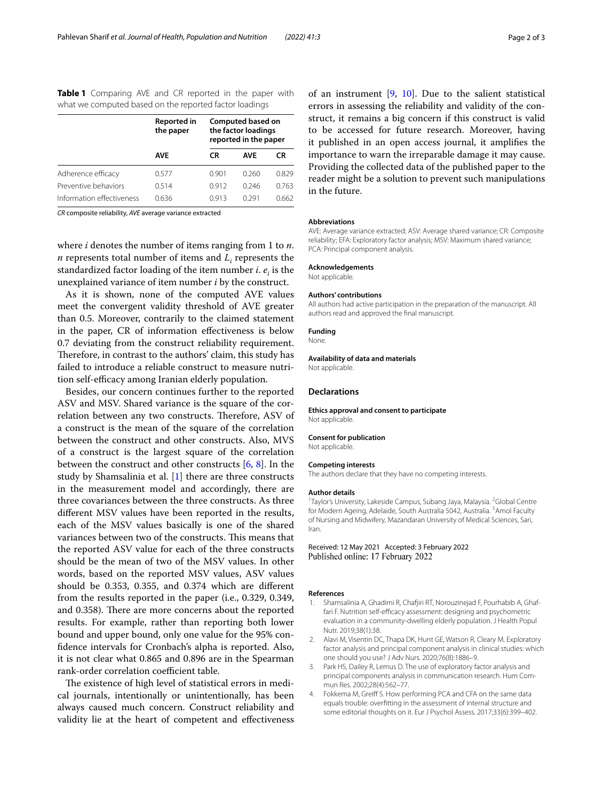<span id="page-1-4"></span>

| Table 1 Comparing AVE and CR reported in the paper with |  |  |  |  |
|---------------------------------------------------------|--|--|--|--|
| what we computed based on the reported factor loadings  |  |  |  |  |

|                           | Reported in<br>the paper | Computed based on<br>the factor loadings<br>reported in the paper |            |       |  |  |
|---------------------------|--------------------------|-------------------------------------------------------------------|------------|-------|--|--|
|                           | <b>AVE</b>               | CR                                                                | <b>AVE</b> | CR    |  |  |
| Adherence efficacy        | 0.577                    | 0.901                                                             | 0.260      | 0.829 |  |  |
| Preventive behaviors      | 0.514                    | 0.912                                                             | 0.246      | 0.763 |  |  |
| Information effectiveness | 0.636                    | 0913                                                              | በ 291      | 0.662 |  |  |

*CR* composite reliability, *AVE* average variance extracted

where *i* denotes the number of items ranging from 1 to *n*. *n* represents total number of items and  $L_i$  represents the standardized factor loading of the item number  $i$ .  $e_i$  is the unexplained variance of item number *i* by the construct.

As it is shown, none of the computed AVE values meet the convergent validity threshold of AVE greater than 0.5. Moreover, contrarily to the claimed statement in the paper, CR of information efectiveness is below 0.7 deviating from the construct reliability requirement. Therefore, in contrast to the authors' claim, this study has failed to introduce a reliable construct to measure nutrition self-efficacy among Iranian elderly population.

Besides, our concern continues further to the reported ASV and MSV. Shared variance is the square of the correlation between any two constructs. Therefore, ASV of a construct is the mean of the square of the correlation between the construct and other constructs. Also, MVS of a construct is the largest square of the correlation between the construct and other constructs [[6,](#page-2-2) [8\]](#page-2-3). In the study by Shamsalinia et al. [[1\]](#page-1-0) there are three constructs in the measurement model and accordingly, there are three covariances between the three constructs. As three diferent MSV values have been reported in the results, each of the MSV values basically is one of the shared variances between two of the constructs. This means that the reported ASV value for each of the three constructs should be the mean of two of the MSV values. In other words, based on the reported MSV values, ASV values should be 0.353, 0.355, and 0.374 which are diferent from the results reported in the paper (i.e., 0.329, 0.349, and 0.358). There are more concerns about the reported results. For example, rather than reporting both lower bound and upper bound, only one value for the 95% confdence intervals for Cronbach's alpha is reported. Also, it is not clear what 0.865 and 0.896 are in the Spearman rank-order correlation coefficient table.

The existence of high level of statistical errors in medical journals, intentionally or unintentionally, has been always caused much concern. Construct reliability and validity lie at the heart of competent and efectiveness of an instrument [\[9](#page-2-4), [10\]](#page-2-5). Due to the salient statistical errors in assessing the reliability and validity of the construct, it remains a big concern if this construct is valid to be accessed for future research. Moreover, having it published in an open access journal, it amplifes the importance to warn the irreparable damage it may cause. Providing the collected data of the published paper to the reader might be a solution to prevent such manipulations in the future.

## **Abbreviations**

AVE: Average variance extracted; ASV: Average shared variance; CR: Composite reliability; EFA: Exploratory factor analysis; MSV: Maximum shared variance; PCA: Principal component analysis.

## **Acknowledgements**

Not applicable.

## **Authors' contributions**

All authors had active participation in the preparation of the manuscript. All authors read and approved the fnal manuscript.

#### **Funding**

None.

# **Availability of data and materials**

Not applicable.

# **Declarations**

**Ethics approval and consent to participate** Not applicable.

## **Consent for publication**

# Not applicable.

#### **Competing interests**

The authors declare that they have no competing interests.

#### **Author details**

<sup>1</sup>Taylor's University, Lakeside Campus, Subang Jaya, Malaysia. <sup>2</sup>Global Centre for Modern Ageing, Adelaide, South Australia 5042, Australia. <sup>3</sup> Amol Faculty of Nursing and Midwifery, Mazandaran University of Medical Sciences, Sari, Iran.

Received: 12 May 2021 Accepted: 3 February 2022 Published online: 17 February 2022

## **References**

- <span id="page-1-0"></span>1. Shamsalinia A, Ghadimi R, Chafiri RT, Norouzinejad F, Pourhabib A, Ghaffari F. Nutrition self-efficacy assessment: designing and psychometric evaluation in a community-dwelling elderly population. J Health Popul Nutr. 2019;38(1):38.
- <span id="page-1-1"></span>2. Alavi M, Visentin DC, Thapa DK, Hunt GE, Watson R, Cleary M. Exploratory factor analysis and principal component analysis in clinical studies: which one should you use? J Adv Nurs. 2020;76(8):1886–9.
- <span id="page-1-2"></span>3. Park HS, Dailey R, Lemus D. The use of exploratory factor analysis and principal components analysis in communication research. Hum Commun Res. 2002;28(4):562–77.
- <span id="page-1-3"></span>4. Fokkema M, Greif S. How performing PCA and CFA on the same data equals trouble: overftting in the assessment of internal structure and some editorial thoughts on it. Eur J Psychol Assess. 2017;33(6):399–402.